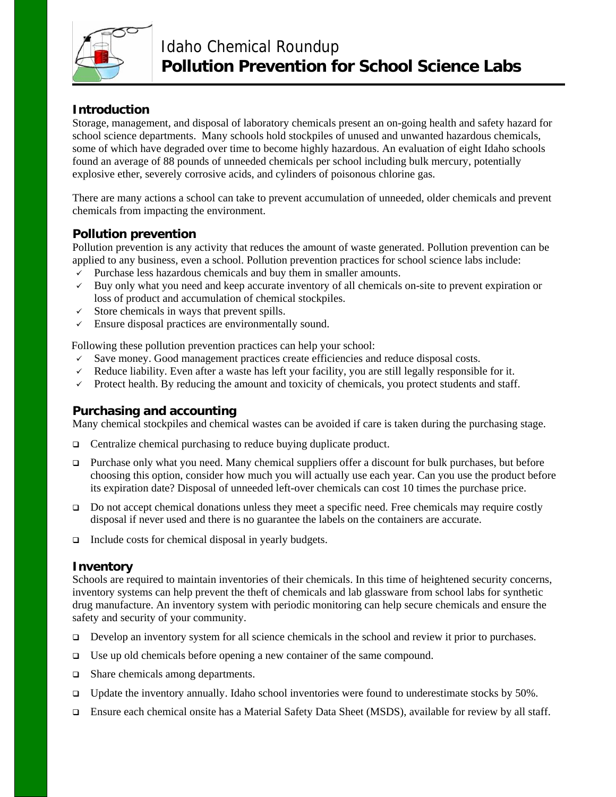

# **Introduction**

Storage, management, and disposal of laboratory chemicals present an on-going health and safety hazard for school science departments. Many schools hold stockpiles of unused and unwanted hazardous chemicals, some of which have degraded over time to become highly hazardous. An evaluation of eight Idaho schools found an average of 88 pounds of unneeded chemicals per school including bulk mercury, potentially explosive ether, severely corrosive acids, and cylinders of poisonous chlorine gas.

There are many actions a school can take to prevent accumulation of unneeded, older chemicals and prevent chemicals from impacting the environment.

## **Pollution prevention**

Pollution prevention is any activity that reduces the amount of waste generated. Pollution prevention can be applied to any business, even a school. Pollution prevention practices for school science labs include:

- $\checkmark$  Purchase less hazardous chemicals and buy them in smaller amounts.
- $\checkmark$  Buy only what you need and keep accurate inventory of all chemicals on-site to prevent expiration or loss of product and accumulation of chemical stockpiles.
- $\checkmark$  Store chemicals in ways that prevent spills.
- $\checkmark$  Ensure disposal practices are environmentally sound.

Following these pollution prevention practices can help your school:

- $\checkmark$  Save money. Good management practices create efficiencies and reduce disposal costs.
- $\checkmark$  Reduce liability. Even after a waste has left your facility, you are still legally responsible for it.
- $\checkmark$  Protect health. By reducing the amount and toxicity of chemicals, you protect students and staff.

### **Purchasing and accounting**

Many chemical stockpiles and chemical wastes can be avoided if care is taken during the purchasing stage.

- □ Centralize chemical purchasing to reduce buying duplicate product.
- **Purchase only what you need. Many chemical suppliers offer a discount for bulk purchases, but before** choosing this option, consider how much you will actually use each year. Can you use the product before its expiration date? Disposal of unneeded left-over chemicals can cost 10 times the purchase price.
- Do not accept chemical donations unless they meet a specific need. Free chemicals may require costly disposal if never used and there is no guarantee the labels on the containers are accurate.
- $\Box$  Include costs for chemical disposal in yearly budgets.

#### **Inventory**

Schools are required to maintain inventories of their chemicals. In this time of heightened security concerns, inventory systems can help prevent the theft of chemicals and lab glassware from school labs for synthetic drug manufacture. An inventory system with periodic monitoring can help secure chemicals and ensure the safety and security of your community.

- Develop an inventory system for all science chemicals in the school and review it prior to purchases.
- $\Box$  Use up old chemicals before opening a new container of the same compound.
- $\Box$  Share chemicals among departments.
- $\Box$  Update the inventory annually. Idaho school inventories were found to underestimate stocks by 50%.
- Ensure each chemical onsite has a Material Safety Data Sheet (MSDS), available for review by all staff.